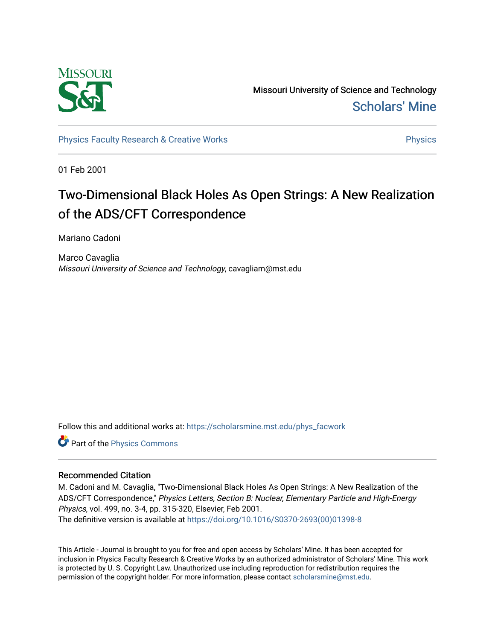

Missouri University of Science and Technology [Scholars' Mine](https://scholarsmine.mst.edu/) 

[Physics Faculty Research & Creative Works](https://scholarsmine.mst.edu/phys_facwork) **Physics** [Physics](https://scholarsmine.mst.edu/phys) Physics

01 Feb 2001

# Two-Dimensional Black Holes As Open Strings: A New Realization of the ADS/CFT Correspondence

Mariano Cadoni

Marco Cavaglia Missouri University of Science and Technology, cavagliam@mst.edu

Follow this and additional works at: [https://scholarsmine.mst.edu/phys\\_facwork](https://scholarsmine.mst.edu/phys_facwork?utm_source=scholarsmine.mst.edu%2Fphys_facwork%2F1889&utm_medium=PDF&utm_campaign=PDFCoverPages) 

Part of the [Physics Commons](http://network.bepress.com/hgg/discipline/193?utm_source=scholarsmine.mst.edu%2Fphys_facwork%2F1889&utm_medium=PDF&utm_campaign=PDFCoverPages)

### Recommended Citation

M. Cadoni and M. Cavaglia, "Two-Dimensional Black Holes As Open Strings: A New Realization of the ADS/CFT Correspondence," Physics Letters, Section B: Nuclear, Elementary Particle and High-Energy Physics, vol. 499, no. 3-4, pp. 315-320, Elsevier, Feb 2001. The definitive version is available at [https://doi.org/10.1016/S0370-2693\(00\)01398-8](https://doi.org/10.1016/S0370-2693(00)01398-8) 

This Article - Journal is brought to you for free and open access by Scholars' Mine. It has been accepted for inclusion in Physics Faculty Research & Creative Works by an authorized administrator of Scholars' Mine. This work is protected by U. S. Copyright Law. Unauthorized use including reproduction for redistribution requires the permission of the copyright holder. For more information, please contact [scholarsmine@mst.edu](mailto:scholarsmine@mst.edu).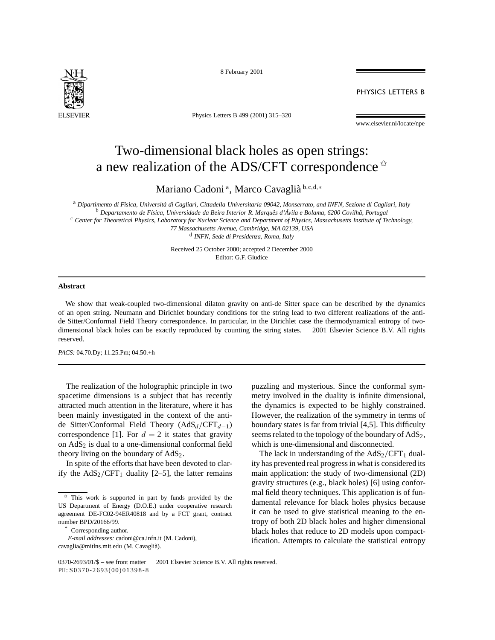

8 February 2001

**PHYSICS LETTERS B** 

Physics Letters B 499 (2001) 315–320

#### www.elsevier.nl/locate/npe

## Two-dimensional black holes as open strings: a new realization of the ADS/CFT correspondence  $\dot{\mathbf{x}}$

Mariano Cadoni <sup>a</sup> , Marco Cavaglià <sup>b</sup>*,*c*,*d*,*<sup>∗</sup>

<sup>a</sup> *Dipartimento di Fisica, Università di Cagliari, Cittadella Universitaria 09042, Monserrato, and INFN, Sezione di Cagliari, Italy* <sup>b</sup> *Departamento de Física, Universidade da Beira Interior R. Marquês d'Ávila e Bolama, 6200 Covilhã, Portugal* <sup>c</sup> *Center for Theoretical Physics, Laboratory for Nuclear Science and Department of Physics, Massachusetts Institute of Technology,*

*77 Massachusetts Avenue, Cambridge, MA 02139, USA* <sup>d</sup> *INFN, Sede di Presidenza, Roma, Italy*

Received 25 October 2000; accepted 2 December 2000 Editor: G.F. Giudice

### **Abstract**

We show that weak-coupled two-dimensional dilaton gravity on anti-de Sitter space can be described by the dynamics of an open string. Neumann and Dirichlet boundary conditions for the string lead to two different realizations of the antide Sitter/Conformal Field Theory correspondence. In particular, in the Dirichlet case the thermodynamical entropy of twodimensional black holes can be exactly reproduced by counting the string states.  $\odot$  2001 Elsevier Science B.V. All rights reserved.

*PACS:* 04.70.Dy; 11.25.Pm; 04.50.+h

The realization of the holographic principle in two spacetime dimensions is a subject that has recently attracted much attention in the literature, where it has been mainly investigated in the context of the antide Sitter/Conformal Field Theory (AdS*<sup>d</sup> /*CFT*d*<sup>−</sup>1) correspondence [1]. For  $d = 2$  it states that gravity on  $AdS<sub>2</sub>$  is dual to a one-dimensional conformal field theory living on the boundary of  $AdS<sub>2</sub>$ .

In spite of the efforts that have been devoted to clarify the  $AdS_2/CFT_1$  duality [2–5], the latter remains

Corresponding author.

puzzling and mysterious. Since the conformal symmetry involved in the duality is infinite dimensional, the dynamics is expected to be highly constrained. However, the realization of the symmetry in terms of boundary states is far from trivial [4,5]. This difficulty seems related to the topology of the boundary of  $AdS<sub>2</sub>$ , which is one-dimensional and disconnected.

The lack in understanding of the  $AdS_2/CFT_1$  duality has prevented real progress in what is considered its main application: the study of two-dimensional (2D) gravity structures (e.g., black holes) [6] using conformal field theory techniques. This application is of fundamental relevance for black holes physics because it can be used to give statistical meaning to the entropy of both 2D black holes and higher dimensional black holes that reduce to 2D models upon compactification. Attempts to calculate the statistical entropy

This work is supported in part by funds provided by the US Department of Energy (D.O.E.) under cooperative research agreement DE-FC02-94ER40818 and by a FCT grant, contract number BPD/20166/99.

*E-mail addresses:* cadoni@ca.infn.it (M. Cadoni), cavaglia@mitlns.mit.edu (M. Cavaglià).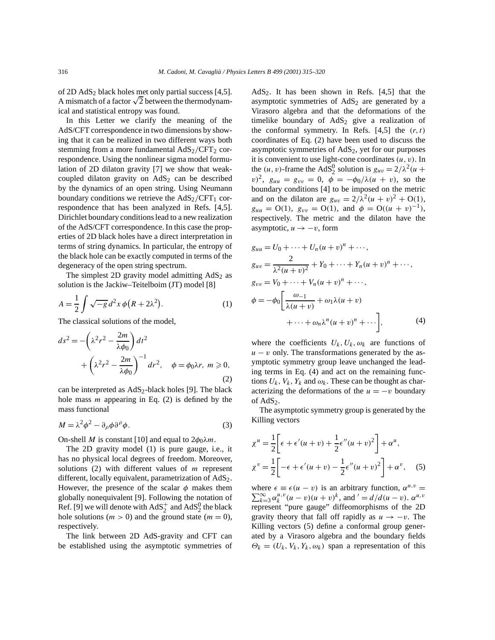of 2D AdS2 black holes met only partial success [4,5]. or 2D AdS<sub>2</sub> black holes met only partial success [4,5].<br>A mismatch of a factor  $\sqrt{2}$  between the thermodynamical and statistical entropy was found.

In this Letter we clarify the meaning of the AdS/CFT correspondence in two dimensions by showing that it can be realized in two different ways both stemming from a more fundamental AdS<sub>2</sub>/CFT<sub>2</sub> correspondence. Using the nonlinear sigma model formulation of 2D dilaton gravity [7] we show that weakcoupled dilaton gravity on  $AdS<sub>2</sub>$  can be described by the dynamics of an open string. Using Neumann boundary conditions we retrieve the  $AdS_2/CFT_1$  correspondence that has been analyzed in Refs. [4,5]. Dirichlet boundary conditions lead to a new realization of the AdS/CFT correspondence. In this case the properties of 2D black holes have a direct interpretation in terms of string dynamics. In particular, the entropy of the black hole can be exactly computed in terms of the degeneracy of the open string spectrum.

The simplest 2D gravity model admitting  $AdS<sub>2</sub>$  as solution is the Jackiw–Teitelboim (JT) model [8]

$$
A = \frac{1}{2} \int \sqrt{-g} \, d^2x \, \phi \left( R + 2\lambda^2 \right). \tag{1}
$$

The classical solutions of the model,

$$
ds^{2} = -\left(\lambda^{2}r^{2} - \frac{2m}{\lambda\phi_{0}}\right)dt^{2}
$$
  
+ 
$$
\left(\lambda^{2}r^{2} - \frac{2m}{\lambda\phi_{0}}\right)^{-1}dr^{2}, \quad \phi = \phi_{0}\lambda r, \ m \ge 0,
$$
  
(2)

can be interpreted as  $AdS_2$ -black holes [9]. The black hole mass *m* appearing in Eq. (2) is defined by the mass functional

$$
M = \lambda^2 \phi^2 - \partial_{\rho} \phi \partial^{\rho} \phi. \tag{3}
$$

On-shell *M* is constant [10] and equal to  $2\phi_0\lambda m$ .

The 2D gravity model (1) is pure gauge, i.e., it has no physical local degrees of freedom. Moreover, solutions (2) with different values of *m* represent different, locally equivalent, parametrization of AdS<sub>2</sub>. However, the presence of the scalar  $\phi$  makes them globally nonequivalent [9]. Following the notation of Ref. [9] we will denote with  $AdS_2^+$  and  $AdS_2^0$  the black hole solutions ( $m > 0$ ) and the ground state ( $m = 0$ ), respectively.

The link between 2D AdS-gravity and CFT can be established using the asymptotic symmetries of AdS<sub>2</sub>. It has been shown in Refs.  $[4,5]$  that the asymptotic symmetries of  $AdS<sub>2</sub>$  are generated by a Virasoro algebra and that the deformations of the timelike boundary of  $AdS_2$  give a realization of the conformal symmetry. In Refs.  $[4,5]$  the  $(r, t)$ coordinates of Eq. (2) have been used to discuss the asymptotic symmetries of  $AdS<sub>2</sub>$ , yet for our purposes it is convenient to use light-cone coordinates *(u, v)*. In the  $(u, v)$ -frame the AdS<sup>0</sup><sub>2</sub> solution is  $g_{uv} = 2/\lambda^2(u +$ *v*)<sup>2</sup>,  $g_{uu} = g_{vv} = 0$ ,  $\phi = -\phi_0/\lambda(u + v)$ , so the boundary conditions [4] to be imposed on the metric and on the dilaton are  $g_{uv} = 2/\lambda^2 (u + v)^2 + O(1)$ ,  $g_{uu} = O(1)$ ,  $g_{vv} = O(1)$ , and  $\phi = O((u + v)^{-1})$ , respectively. The metric and the dilaton have the asymptotic,  $u \rightarrow -v$ , form

$$
g_{uu} = U_0 + \dots + U_n (u + v)^n + \dots,
$$
  
\n
$$
g_{uv} = \frac{2}{\lambda^2 (u + v)^2} + Y_0 + \dots + Y_n (u + v)^n + \dots,
$$
  
\n
$$
g_{vv} = V_0 + \dots + V_n (u + v)^n + \dots,
$$
  
\n
$$
\phi = -\phi_0 \left[ \frac{\omega_{-1}}{\lambda (u + v)} + \omega_1 \lambda (u + v) + \dots \right],
$$
  
\n
$$
+ \dots + \omega_n \lambda^n (u + v)^n + \dots \right],
$$
\n(4)

where the coefficients  $U_k$ ,  $U_k$ ,  $\omega_k$  are functions of  $u - v$  only. The transformations generated by the asymptotic symmetry group leave unchanged the leading terms in Eq. (4) and act on the remaining functions  $U_k$ ,  $V_k$ ,  $Y_k$  and  $\omega_k$ . These can be thought as characterizing the deformations of the  $u = -v$  boundary of AdS<sub>2</sub>.

The asymptotic symmetry group is generated by the Killing vectors

$$
\chi^{u} = \frac{1}{2} \bigg[ \epsilon + \epsilon'(u+v) + \frac{1}{2} \epsilon''(u+v)^{2} \bigg] + \alpha^{u},
$$
  

$$
\chi^{v} = \frac{1}{2} \bigg[ -\epsilon + \epsilon'(u+v) - \frac{1}{2} \epsilon''(u+v)^{2} \bigg] + \alpha^{v}, \quad (5)
$$

where  $\epsilon \equiv \epsilon (u - v)$  is an arbitrary function,  $\alpha^{u,v}$ where  $\epsilon \equiv \epsilon (u - v)$  is an arbitrary function,  $\alpha^{u,v} = \sum_{k=3}^{\infty} \alpha_k^{u,v} (u - v)(u + v)^k$ , and  $' = d/d(u - v)$ .  $\alpha^{u,v}$ represent "pure gauge" diffeomorphisms of the 2D gravity theory that fall off rapidly as  $u \rightarrow -v$ . The Killing vectors (5) define a conformal group generated by a Virasoro algebra and the boundary fields  $\Theta_k = (U_k, V_k, Y_k, \omega_k)$  span a representation of this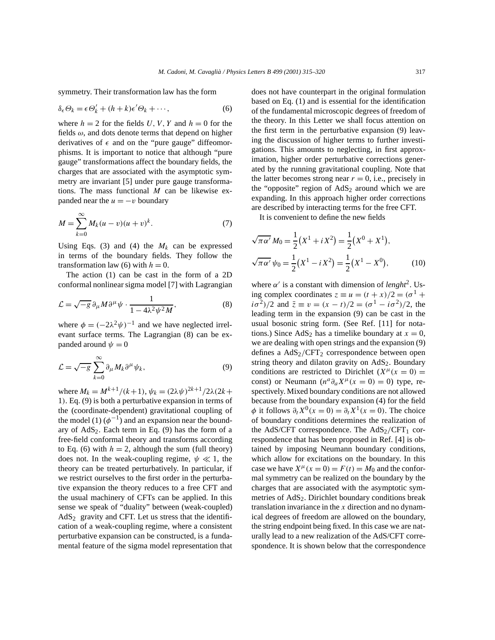symmetry. Their transformation law has the form

$$
\delta_{\epsilon} \Theta_k = \epsilon \Theta'_k + (h+k)\epsilon' \Theta_k + \cdots, \qquad (6)
$$

where  $h = 2$  for the fields *U*, *V*, *Y* and  $h = 0$  for the fields  $\omega$ , and dots denote terms that depend on higher derivatives of  $\epsilon$  and on the "pure gauge" diffeomorphisms. It is important to notice that although "pure gauge" transformations affect the boundary fields, the charges that are associated with the asymptotic symmetry are invariant [5] under pure gauge transformations. The mass functional *M* can be likewise expanded near the  $u = -v$  boundary

$$
M = \sum_{k=0}^{\infty} M_k (u - v)(u + v)^k.
$$
 (7)

Using Eqs. (3) and (4) the  $M_k$  can be expressed in terms of the boundary fields. They follow the transformation law (6) with  $h = 0$ .

The action (1) can be cast in the form of a 2D conformal nonlinear sigma model [7] with Lagrangian

$$
\mathcal{L} = \sqrt{-g} \,\partial_{\mu} M \partial^{\mu} \psi \cdot \frac{1}{1 - 4\lambda^2 \psi^2 M},\tag{8}
$$

where  $\phi = (-2\lambda^2 \psi)^{-1}$  and we have neglected irrelevant surface terms. The Lagrangian (8) can be expanded around  $\psi = 0$ 

$$
\mathcal{L} = \sqrt{-g} \sum_{k=0}^{\infty} \partial_{\mu} M_{k} \partial^{\mu} \psi_{k}, \qquad (9)
$$

where  $M_k = M^{k+1}/(k+1)$ ,  $\psi_k = (2\lambda \psi)^{2k+1}/2\lambda(2k+1)$ 1*)*. Eq. (9) is both a perturbative expansion in terms of the (coordinate-dependent) gravitational coupling of the model (1)  $(\phi^{-1})$  and an expansion near the boundary of  $AdS_2$ . Each term in Eq. (9) has the form of a free-field conformal theory and transforms according to Eq. (6) with  $h = 2$ , although the sum (full theory) does not. In the weak-coupling regime,  $\psi \ll 1$ , the theory can be treated perturbatively. In particular, if we restrict ourselves to the first order in the perturbative expansion the theory reduces to a free CFT and the usual machinery of CFTs can be applied. In this sense we speak of "duality" between (weak-coupled)  $AdS<sub>2</sub>$  gravity and CFT. Let us stress that the identification of a weak-coupling regime, where a consistent perturbative expansion can be constructed, is a fundamental feature of the sigma model representation that does not have counterpart in the original formulation based on Eq. (1) and is essential for the identification of the fundamental microscopic degrees of freedom of the theory. In this Letter we shall focus attention on the first term in the perturbative expansion (9) leaving the discussion of higher terms to further investigations. This amounts to neglecting, in first approximation, higher order perturbative corrections generated by the running gravitational coupling. Note that the latter becomes strong near  $r = 0$ , i.e., precisely in the "opposite" region of  $AdS_2$  around which we are expanding. In this approach higher order corrections are described by interacting terms for the free CFT.

It is convenient to define the new fields

$$
\sqrt{\pi \alpha'} M_0 = \frac{1}{2} (X^1 + i X^2) = \frac{1}{2} (X^0 + X^1),
$$
  

$$
\sqrt{\pi \alpha'} \psi_0 = \frac{1}{2} (X^1 - i X^2) = \frac{1}{2} (X^1 - X^0),
$$
 (10)

where  $\alpha'$  is a constant with dimension of *lenght*<sup>2</sup>. Using complex coordinates  $z \equiv u = (t + x)/2 = (\sigma^1 +$  $i\sigma^2/2$  and  $\bar{z} \equiv v = (x - t)/2 = (\sigma^1 - i\sigma^2)/2$ , the leading term in the expansion (9) can be cast in the usual bosonic string form. (See Ref. [11] for notations.) Since  $AdS_2$  has a timelike boundary at  $x = 0$ , we are dealing with open strings and the expansion (9) defines a AdS<sub>2</sub>/CFT<sub>2</sub> correspondence between open string theory and dilaton gravity on  $AdS<sub>2</sub>$ . Boundary conditions are restricted to Dirichlet ( $X^{\mu}(x = 0) =$ const) or Neumann  $(n^a \partial_a X^\mu(x=0) = 0)$  type, respectively. Mixed boundary conditions are not allowed because from the boundary expansion (4) for the field  $\phi$  it follows  $\partial_t X^0(x=0) = \partial_t X^1(x=0)$ . The choice of boundary conditions determines the realization of the AdS/CFT correspondence. The  $AdS_2/CFT_1$  correspondence that has been proposed in Ref. [4] is obtained by imposing Neumann boundary conditions, which allow for excitations on the boundary. In this case we have  $X^{\mu}(x=0) = F(t) = M_0$  and the conformal symmetry can be realized on the boundary by the charges that are associated with the asymptotic symmetries of  $AdS<sub>2</sub>$ . Dirichlet boundary conditions break translation invariance in the *x* direction and no dynamical degrees of freedom are allowed on the boundary, the string endpoint being fixed. In this case we are naturally lead to a new realization of the AdS/CFT correspondence. It is shown below that the correspondence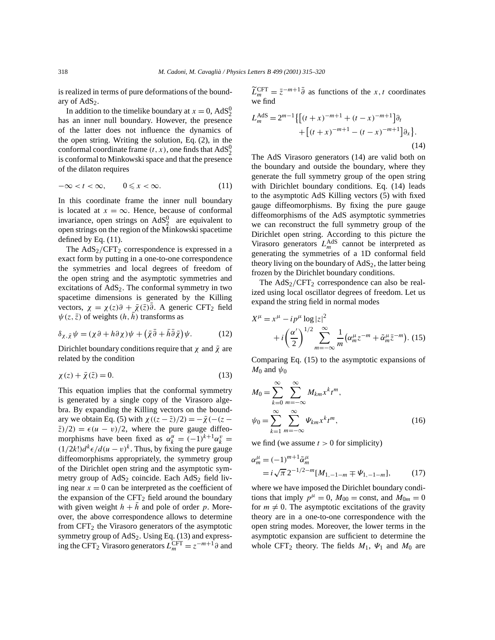is realized in terms of pure deformations of the boundary of  $AdS<sub>2</sub>$ .

In addition to the timelike boundary at  $x = 0$ ,  $AdS_2^0$ has an inner null boundary. However, the presence of the latter does not influence the dynamics of the open string. Writing the solution, Eq. (2), in the conformal coordinate frame  $(t, x)$ , one finds that  $AdS_2^0$ is conformal to Minkowski space and that the presence of the dilaton requires

$$
-\infty < t < \infty, \qquad 0 \leq x < \infty. \tag{11}
$$

In this coordinate frame the inner null boundary is located at  $x = \infty$ . Hence, because of conformal invariance, open strings on  $AdS_2^0$  are equivalent to open strings on the region of the Minkowski spacetime defined by Eq. (11).

The  $AdS_2/CFT_2$  correspondence is expressed in a exact form by putting in a one-to-one correspondence the symmetries and local degrees of freedom of the open string and the asymptotic symmetries and excitations of AdS2. The conformal symmetry in two spacetime dimensions is generated by the Killing vectors,  $\chi = \chi(z)\partial + \bar{\chi}(\bar{z})\bar{\partial}$ . A generic CFT<sub>2</sub> field  $\psi(z, \bar{z})$  of weights  $(h, h)$  transforms as

$$
\delta_{\chi,\bar{\chi}}\psi = (\chi\partial + h\partial\chi)\psi + (\bar{\chi}\bar{\partial} + \bar{h}\bar{\partial}\bar{\chi})\psi.
$$
 (12)

Dirichlet boundary conditions require that  $\chi$  and  $\bar{\chi}$  are related by the condition

$$
\chi(z) + \bar{\chi}(\bar{z}) = 0. \tag{13}
$$

This equation implies that the conformal symmetry is generated by a single copy of the Virasoro algebra. By expanding the Killing vectors on the boundary we obtain Eq. (5) with  $\chi((z - \overline{z})/2) = -\overline{\chi}(- (z \overline{z}/(2) = \epsilon (u - v)/2$ , where the pure gauge diffeomorphisms have been fixed as  $\alpha_k^u = (-1)^{k+1} \alpha_k^v$  $(1/2k!)d^k \in d(u-v)^k$ . Thus, by fixing the pure gauge diffeomorphisms appropriately, the symmetry group of the Dirichlet open string and the asymptotic symmetry group of  $AdS_2$  coincide. Each  $AdS_2$  field living near  $x = 0$  can be interpreted as the coefficient of the expansion of the  $CFT<sub>2</sub>$  field around the boundary with given weight  $h + \bar{h}$  and pole of order *p*. Moreover, the above correspondence allows to determine from  $CFT<sub>2</sub>$  the Virasoro generators of the asymptotic symmetry group of  $AdS_2$ . Using Eq. (13) and expressing the CFT<sub>2</sub> Virasoro generators  $\overline{L}_m^{\text{CFT}} = z^{-m+1} \partial$  and  $\widetilde{L}_{m}^{\text{CFT}} = \overline{z}^{-m+1}\overline{\partial}$  as functions of the *x,t* coordinates we find

$$
L_m^{\text{AdS}} = 2^{m-1} \{ [(t+x)^{-m+1} + (t-x)^{-m+1}] \partial_t + [(t+x)^{-m+1} - (t-x)^{-m+1}] \partial_x \}.
$$
\n(14)

The AdS Virasoro generators (14) are valid both on the boundary and outside the boundary, where they generate the full symmetry group of the open string with Dirichlet boundary conditions. Eq. (14) leads to the asymptotic AdS Killing vectors (5) with fixed gauge diffeomorphisms. By fixing the pure gauge diffeomorphisms of the AdS asymptotic symmetries we can reconstruct the full symmetry group of the Dirichlet open string. According to this picture the Virasoro generators  $L_m^{\text{AdS}}$  cannot be interpreted as generating the symmetries of a 1D conformal field theory living on the boundary of  $AdS<sub>2</sub>$ , the latter being frozen by the Dirichlet boundary conditions.

The  $AdS_2/CFT_2$  correspondence can also be realized using local oscillator degrees of freedom. Let us expand the string field in normal modes

$$
X^{\mu} = x^{\mu} - ip^{\mu} \log |z|^2
$$
  
+  $i \left(\frac{\alpha'}{2}\right)^{1/2} \sum_{m=-\infty}^{\infty} \frac{1}{m} \left(\alpha_m^{\mu} z^{-m} + \tilde{\alpha}_m^{\mu} \bar{z}^{-m}\right)$ . (15)

Comparing Eq. (15) to the asymptotic expansions of *M*<sup>0</sup> and  $\psi$ <sup>0</sup>

$$
M_0 = \sum_{k=0}^{\infty} \sum_{m=-\infty}^{\infty} M_{km} x^k t^m,
$$
  

$$
\psi_0 = \sum_{k=1}^{\infty} \sum_{m=-\infty}^{\infty} \Psi_{km} x^k t^m,
$$
 (16)

we find (we assume  $t > 0$  for simplicity)

$$
\alpha_m^{\mu} = (-1)^{m+1} \tilde{\alpha}_m^{\mu}
$$
  
=  $i \sqrt{\pi} 2^{-1/2-m} [M_{1,-1-m} \mp \Psi_{1,-1-m}],$  (17)

where we have imposed the Dirichlet boundary conditions that imply  $p^{\mu} = 0$ ,  $M_{00} = \text{const}$ , and  $M_{0m} = 0$ for  $m \neq 0$ . The asymptotic excitations of the gravity theory are in a one-to-one correspondence with the open string modes. Moreover, the lower terms in the asymptotic expansion are sufficient to determine the whole CFT<sub>2</sub> theory. The fields  $M_1$ ,  $\Psi_1$  and  $M_0$  are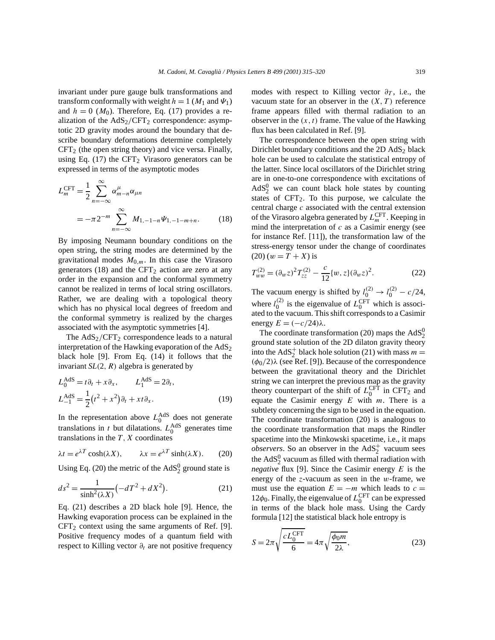invariant under pure gauge bulk transformations and transform conformally with weight  $h = 1$  ( $M_1$  and  $\Psi_1$ ) and  $h = 0$  ( $M_0$ ). Therefore, Eq. (17) provides a realization of the AdS<sub>2</sub>/CFT<sub>2</sub> correspondence: asymptotic 2D gravity modes around the boundary that describe boundary deformations determine completely  $CFT<sub>2</sub>$  (the open string theory) and vice versa. Finally, using Eq. (17) the CFT<sub>2</sub> Virasoro generators can be expressed in terms of the asymptotic modes

$$
L_m^{\text{CFT}} = \frac{1}{2} \sum_{n=-\infty}^{\infty} \alpha_{m-n}^{\mu} \alpha_{\mu n}
$$
  
=  $-\pi 2^{-m} \sum_{n=-\infty}^{\infty} M_{1,-1-n} \Psi_{1,-1-m+n}.$  (18)

By imposing Neumann boundary conditions on the open string, the string modes are determined by the gravitational modes  $M_{0,m}$ . In this case the Virasoro generators (18) and the CFT<sub>2</sub> action are zero at any order in the expansion and the conformal symmetry cannot be realized in terms of local string oscillators. Rather, we are dealing with a topological theory which has no physical local degrees of freedom and the conformal symmetry is realized by the charges associated with the asymptotic symmetries [4].

The  $AdS_2/CFT_2$  correspondence leads to a natural interpretation of the Hawking evaporation of the  $AdS_2$ black hole [9]. From Eq. (14) it follows that the invariant *SL(*2*,R)* algebra is generated by

$$
L_0^{\text{AdS}} = t\partial_t + x\partial_x, \qquad L_1^{\text{AdS}} = 2\partial_t,
$$
  

$$
L_{-1}^{\text{AdS}} = \frac{1}{2}(t^2 + x^2)\partial_t + xt\partial_x.
$$
 (19)

In the representation above  $L_0^{\text{AdS}}$  does not generate translations in *t* but dilatations.  $L_0^{\text{AdS}}$  generates time translations in the  $T$ ,  $X$  coordinates

$$
\lambda t = e^{\lambda T} \cosh(\lambda X), \qquad \lambda x = e^{\lambda T} \sinh(\lambda X). \tag{20}
$$

Using Eq. (20) the metric of the  $AdS_2^0$  ground state is

$$
ds^{2} = \frac{1}{\sinh^{2}(\lambda X)}(-dT^{2} + dX^{2}).
$$
 (21)

Eq. (21) describes a 2D black hole [9]. Hence, the Hawking evaporation process can be explained in the  $CFT<sub>2</sub>$  context using the same arguments of Ref. [9]. Positive frequency modes of a quantum field with respect to Killing vector *∂t* are not positive frequency modes with respect to Killing vector  $\partial_T$ , i.e., the vacuum state for an observer in the  $(X, T)$  reference frame appears filled with thermal radiation to an observer in the  $(x, t)$  frame. The value of the Hawking flux has been calculated in Ref. [9].

The correspondence between the open string with Dirichlet boundary conditions and the 2D AdS<sub>2</sub> black hole can be used to calculate the statistical entropy of the latter. Since local oscillators of the Dirichlet string are in one-to-one correspondence with excitations of  $AdS_2^0$  we can count black hole states by counting states of  $CFT_2$ . To this purpose, we calculate the central charge *c* associated with the central extension of the Virasoro algebra generated by  $L_m^{\text{CFT}}$ . Keeping in mind the interpretation of *c* as a Casimir energy (see for instance Ref. [11]), the transformation law of the stress-energy tensor under the change of coordinates  $(20)(w = T + X)$  is

$$
T_{ww}^{(2)} = (\partial_w z)^2 T_{zz}^{(2)} - \frac{c}{12} \{w, z\} (\partial_w z)^2.
$$
 (22)

The vacuum energy is shifted by  $l_0^{(2)} \rightarrow l_0^{(2)} - c/24$ , where  $l_0^{(2)}$  is the eigenvalue of  $L_0^{\text{CFT}}$  which is associated to the vacuum. This shift corresponds to a Casimir energy  $E = (-c/24)\lambda$ .

The coordinate transformation (20) maps the  $AdS_2^0$ ground state solution of the 2D dilaton gravity theory into the AdS<sup>+</sup> black hole solution (21) with mass  $m =$ *(φ*0*/*2*)λ* (see Ref. [9]). Because of the correspondence between the gravitational theory and the Dirichlet string we can interpret the previous map as the gravity theory counterpart of the shift of  $L_0^{\text{CFT}}$  in  $\text{CFT}_2$  and equate the Casimir energy *E* with *m*. There is a subtlety concerning the sign to be used in the equation. The coordinate transformation (20) is analogous to the coordinate transformation that maps the Rindler spacetime into the Minkowski spacetime, i.e., it maps  $\omega$ *bservers*. So an observer in the  $AdS_2^+$  vacuum sees the  $AdS_2^0$  vacuum as filled with thermal radiation with *negative* flux [9]. Since the Casimir energy *E* is the energy of the *z*-vacuum as seen in the *w*-frame, we must use the equation  $E = -m$  which leads to  $c =$ 12 $\phi_0$ . Finally, the eigenvalue of  $L_0^{\text{CFT}}$  can be expressed in terms of the black hole mass. Using the Cardy formula [12] the statistical black hole entropy is

$$
S = 2\pi \sqrt{\frac{cL_0^{\text{CFT}}}{6}} = 4\pi \sqrt{\frac{\phi_0 m}{2\lambda}},
$$
\n(23)